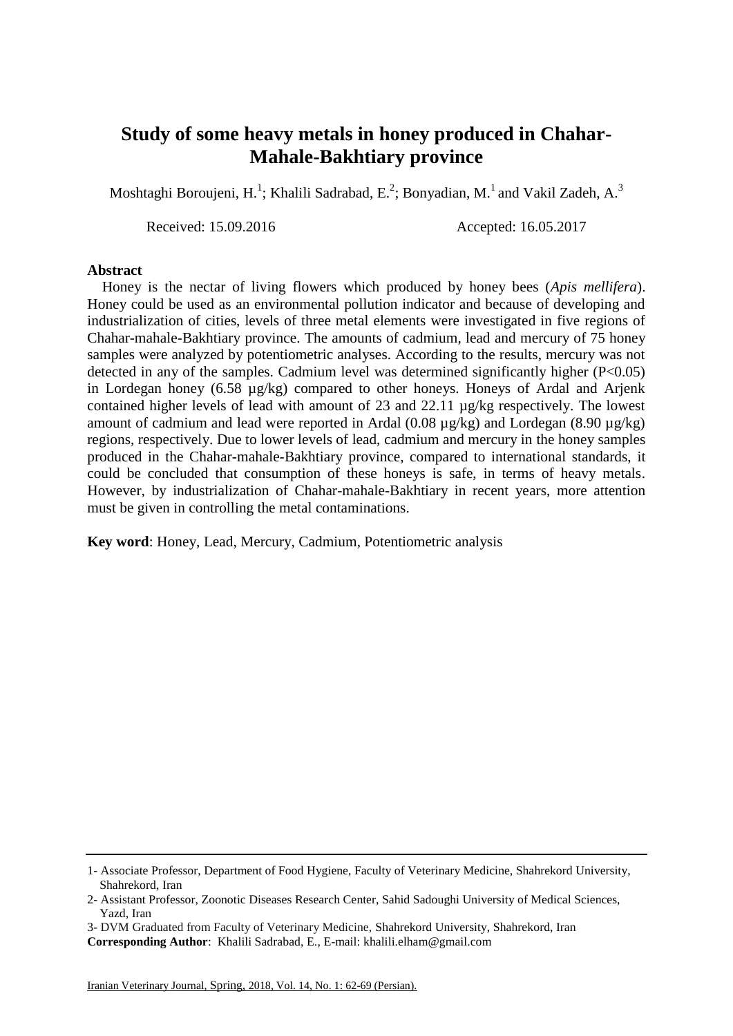## **Study of some heavy metals in honey produced in Chahar-Mahale-Bakhtiary province**

Moshtaghi Boroujeni, H.<sup>1</sup>; Khalili Sadrabad, E.<sup>2</sup>; Bonyadian, M.<sup>1</sup> and Vakil Zadeh, A.<sup>3</sup>

Received: 15.09.2016 Accepted: 16.05.2017

## **Abstract**

 Honey is the nectar of living flowers which produced by honey bees (*Apis mellifera*). Honey could be used as an environmental pollution indicator and because of developing and industrialization of cities, levels of three metal elements were investigated in five regions of Chahar-mahale-Bakhtiary province. The amounts of cadmium, lead and mercury of 75 honey samples were analyzed by potentiometric analyses. According to the results, mercury was not detected in any of the samples. Cadmium level was determined significantly higher  $(P<0.05)$ in Lordegan honey (6.58 µg/kg) compared to other honeys. Honeys of Ardal and Arjenk contained higher levels of lead with amount of 23 and 22.11 µg/kg respectively. The lowest amount of cadmium and lead were reported in Ardal (0.08 µg/kg) and Lordegan (8.90 µg/kg) regions, respectively. Due to lower levels of lead, cadmium and mercury in the honey samples produced in the Chahar-mahale-Bakhtiary province, compared to international standards, it could be concluded that consumption of these honeys is safe, in terms of heavy metals. However, by industrialization of Chahar-mahale-Bakhtiary in recent years, more attention must be given in controlling the metal contaminations.

**Key word**: Honey, Lead, Mercury, Cadmium, Potentiometric analysis

<sup>1-</sup> Associate Professor, Department of Food Hygiene, Faculty of Veterinary Medicine, Shahrekord University, Shahrekord, Iran

<sup>2-</sup> Assistant Professor, Zoonotic Diseases Research Center, Sahid Sadoughi University of Medical Sciences, Yazd, Iran

<sup>3-</sup> DVM Graduated from Faculty of Veterinary Medicine, Shahrekord University, Shahrekord, Iran

**Corresponding Author**: Khalili Sadrabad, E., E-mail: khalili.elham@gmail.com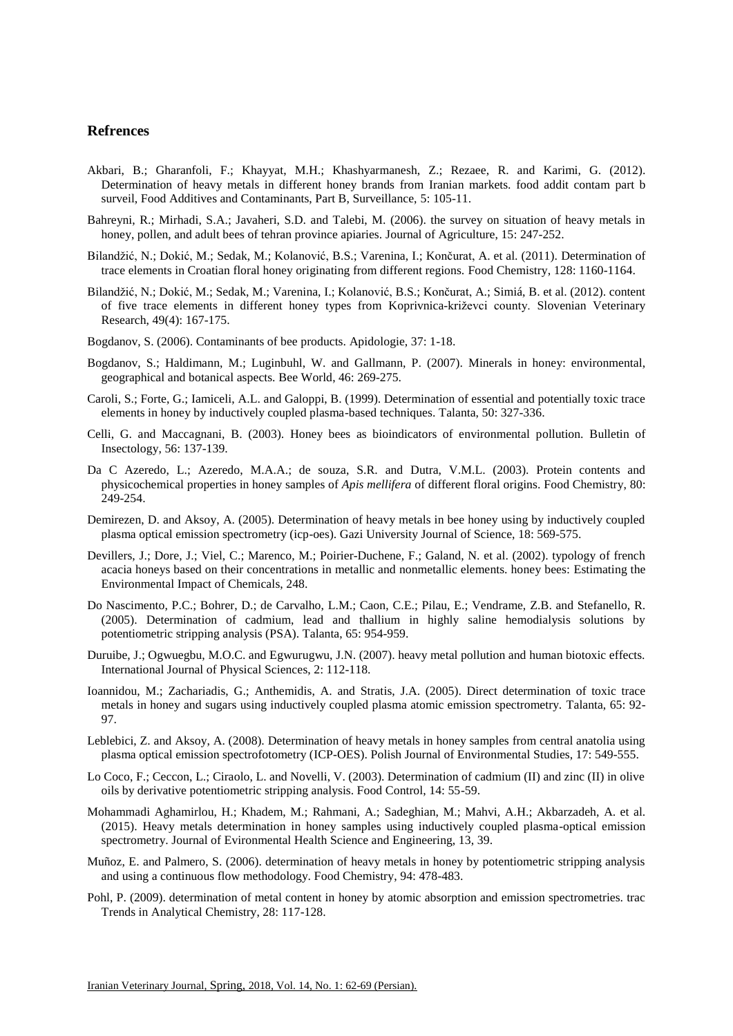## **Refrences**

- Akbari, B.; Gharanfoli, F.; Khayyat, M.H.; Khashyarmanesh, Z.; Rezaee, R. and Karimi, G. (2012). Determination of heavy metals in different honey brands from Iranian markets. food addit contam part b surveil, Food Additives and Contaminants, Part B, Surveillance, 5: 105-11.
- Bahreyni, R.; Mirhadi, S.A.; Javaheri, S.D. and Talebi, M. (2006). the survey on situation of heavy metals in honey, pollen, and adult bees of tehran province apiaries. Journal of Agriculture, 15: 247-252.
- Bilandžić, N.; Dokić, M.; Sedak, M.; Kolanović, B.S.; Varenina, I.; Končurat, A. et al. (2011). Determination of trace elements in Croatian floral honey originating from different regions. Food Chemistry, 128: 1160-1164.
- Bilandžić, N.; Dokić, M.; Sedak, M.; Varenina, I.; Kolanović, B.S.; Končurat, A.; Simiá, B. et al. (2012). content of five trace elements in different honey types from Koprivnica-križevci county. Slovenian Veterinary Research, 49(4): 167-175.
- Bogdanov, S. (2006). Contaminants of bee products. Apidologie, 37: 1-18.
- Bogdanov, S.; Haldimann, M.; Luginbuhl, W. and Gallmann, P. (2007). Minerals in honey: environmental, geographical and botanical aspects. Bee World, 46: 269-275.
- Caroli, S.; Forte, G.; Iamiceli, A.L. and Galoppi, B. (1999). Determination of essential and potentially toxic trace elements in honey by inductively coupled plasma-based techniques. Talanta, 50: 327-336.
- Celli, G. and Maccagnani, B. (2003). Honey bees as bioindicators of environmental pollution. Bulletin of Insectology, 56: 137-139.
- Da C Azeredo, L.; Azeredo, M.A.A.; de souza, S.R. and Dutra, V.M.L. (2003). Protein contents and physicochemical properties in honey samples of *Apis mellifera* of different floral origins. Food Chemistry, 80: 249-254.
- Demirezen, D. and Aksoy, A. (2005). Determination of heavy metals in bee honey using by inductively coupled plasma optical emission spectrometry (icp-oes). Gazi University Journal of Science, 18: 569-575.
- Devillers, J.; Dore, J.; Viel, C.; Marenco, M.; Poirier-Duchene, F.; Galand, N. et al. (2002). typology of french acacia honeys based on their concentrations in metallic and nonmetallic elements. honey bees: Estimating the Environmental Impact of Chemicals, 248.
- Do Nascimento, P.C.; Bohrer, D.; de Carvalho, L.M.; Caon, C.E.; Pilau, E.; Vendrame, Z.B. and Stefanello, R. (2005). Determination of cadmium, lead and thallium in highly saline hemodialysis solutions by potentiometric stripping analysis (PSA). Talanta, 65: 954-959.
- Duruibe, J.; Ogwuegbu, M.O.C. and Egwurugwu, J.N. (2007). heavy metal pollution and human biotoxic effects. International Journal of Physical Sciences, 2: 112-118.
- Ioannidou, M.; Zachariadis, G.; Anthemidis, A. and Stratis, J.A. (2005). Direct determination of toxic trace metals in honey and sugars using inductively coupled plasma atomic emission spectrometry. Talanta, 65: 92- 97.
- Leblebici, Z. and Aksoy, A. (2008). Determination of heavy metals in honey samples from central anatolia using plasma optical emission spectrofotometry (ICP-OES). Polish Journal of Environmental Studies, 17: 549-555.
- Lo Coco, F.; Ceccon, L.; Ciraolo, L. and Novelli, V. (2003). Determination of cadmium (II) and zinc (II) in olive oils by derivative potentiometric stripping analysis. Food Control, 14: 55-59.
- Mohammadi Aghamirlou, H.; Khadem, M.; Rahmani, A.; Sadeghian, M.; Mahvi, A.H.; Akbarzadeh, A. et al. (2015). Heavy metals determination in honey samples using inductively coupled plasma-optical emission spectrometry. Journal of Evironmental Health Science and Engineering, 13, 39.
- Muñoz, E. and Palmero, S. (2006). determination of heavy metals in honey by potentiometric stripping analysis and using a continuous flow methodology. Food Chemistry, 94: 478-483.
- Pohl, P. (2009). determination of metal content in honey by atomic absorption and emission spectrometries. trac Trends in Analytical Chemistry, 28: 117-128.